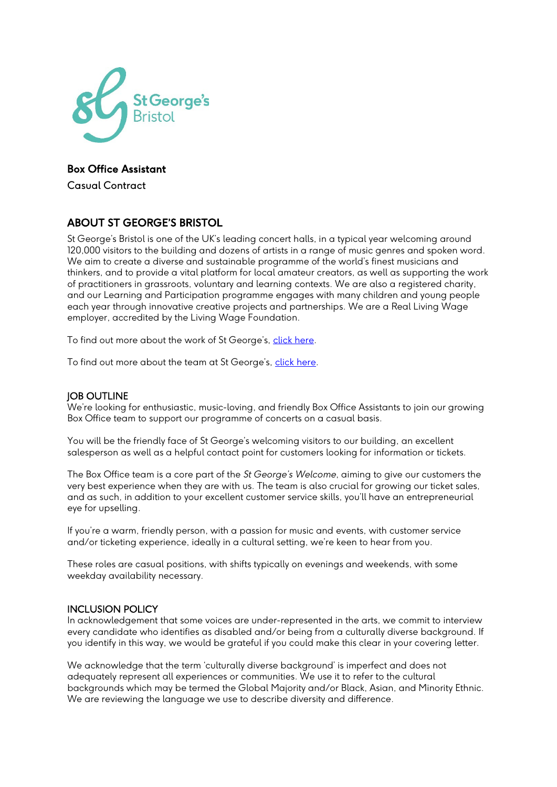

# Box Office Assistant

Casual Contract

#### ABOUT ST GEORGE'S BRISTOL

St George's Bristol is one of the UK's leading concert halls, in a typical year welcoming around 120,000 visitors to the building and dozens of artists in a range of music genres and spoken word. We aim to create a diverse and sustainable programme of the world's finest musicians and thinkers, and to provide a vital platform for local amateur creators, as well as supporting the work of practitioners in grassroots, voluntary and learning contexts. We are also a registered charity, and our Learning and Participation programme engages with many children and young people each year through innovative creative projects and partnerships. We are a Real Living Wage employer, accredited by the Living Wage Foundation.

To find out more about the work of St George's, [click here.](https://www.stgeorgesbristol.co.uk/about-us/)

To find out more about the team at St George's, [click here.](https://www.stgeorgesbristol.co.uk/about-us/our-team/)

#### **IOB OUTLINE**

We're looking for enthusiastic, music-loving, and friendly Box Office Assistants to join our growing Box Office team to support our programme of concerts on a casual basis.

You will be the friendly face of St George's welcoming visitors to our building, an excellent salesperson as well as a helpful contact point for customers looking for information or tickets.

The Box Office team is a core part of the *St George's Welcome*, aiming to give our customers the very best experience when they are with us. The team is also crucial for growing our ticket sales, and as such, in addition to your excellent customer service skills, you'll have an entrepreneurial eye for upselling.

If you're a warm, friendly person, with a passion for music and events, with customer service and/or ticketing experience, ideally in a cultural setting, we're keen to hear from you.

These roles are casual positions, with shifts typically on evenings and weekends, with some weekday availability necessary.

#### INCLUSION POLICY

In acknowledgement that some voices are under-represented in the arts, we commit to interview every candidate who identifies as disabled and/or being from a culturally diverse background. If you identify in this way, we would be grateful if you could make this clear in your covering letter.

We acknowledge that the term 'culturally diverse background' is imperfect and does not adequately represent all experiences or communities. We use it to refer to the cultural backgrounds which may be termed the Global Majority and/or Black, Asian, and Minority Ethnic. We are reviewing the language we use to describe diversity and difference.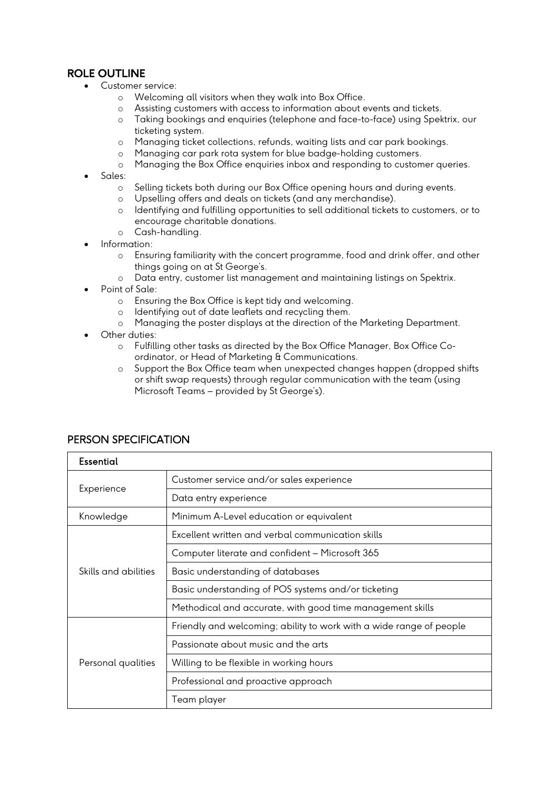# ROLE OUTLINE

- Customer service:
	- o Welcoming all visitors when they walk into Box Office.
	- o Assisting customers with access to information about events and tickets.
	- o Taking bookings and enquiries (telephone and face-to-face) using Spektrix, our ticketing system.
	- o Managing ticket collections, refunds, waiting lists and car park bookings.
	- o Managing car park rota system for blue badge-holding customers.
	- o Managing the Box Office enquiries inbox and responding to customer queries.
- Sales:
	- o Selling tickets both during our Box Office opening hours and during events.<br>
	o Upselling offers and deals on tickets (and any merchandise).
	- o Upselling offers and deals on tickets (and any merchandise).<br>
	o Identifying and fulfilling opportunities to sell additional tickets
	- Identifying and fulfilling opportunities to sell additional tickets to customers, or to encourage charitable donations.
	- o Cash-handling.
- Information:
	- o Ensuring familiarity with the concert programme, food and drink offer, and other things going on at St George's.
	- o Data entry, customer list management and maintaining listings on Spektrix.
- Point of Sale:
	- o Ensuring the Box Office is kept tidy and welcoming.
	- o Identifying out of date leaflets and recycling them.
	- o Managing the poster displays at the direction of the Marketing Department.
- Other duties:
	- o Fulfilling other tasks as directed by the Box Office Manager, Box Office Coordinator, or Head of Marketing & Communications.
	- o Support the Box Office team when unexpected changes happen (dropped shifts or shift swap requests) through regular communication with the team (using Microsoft Teams – provided by St George's).

| <b>Essential</b>     |                                                                     |  |
|----------------------|---------------------------------------------------------------------|--|
| Experience           | Customer service and/or sales experience                            |  |
|                      | Data entry experience                                               |  |
| Knowledge            | Minimum A-Level education or equivalent                             |  |
| Skills and abilities | Excellent written and verbal communication skills                   |  |
|                      | Computer literate and confident - Microsoft 365                     |  |
|                      | Basic understanding of databases                                    |  |
|                      | Basic understanding of POS systems and/or ticketing                 |  |
|                      | Methodical and accurate, with good time management skills           |  |
| Personal qualities   | Friendly and welcoming; ability to work with a wide range of people |  |
|                      | Passionate about music and the arts                                 |  |
|                      | Willing to be flexible in working hours                             |  |
|                      | Professional and proactive approach                                 |  |
|                      | Team player                                                         |  |

#### PERSON SPECIFICATION